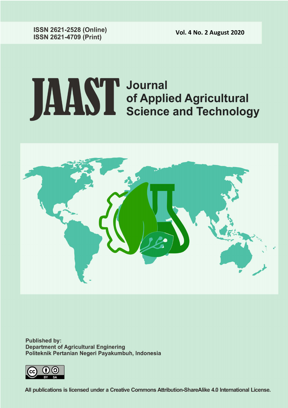**Vol. 4 No. 2 August 2020** 

**ISSN 2621-2528 (Online) ISSN 2621-4709 (Print)** 

# **JAAST** Journal<br>Science and Technology



**Published by: Department of Agricultural Enginering** Politeknik Pertanian Negeri Payakumbuh, Indonesia



All publications is licensed under a Creative Commons Attribution-ShareAlike 4.0 International License.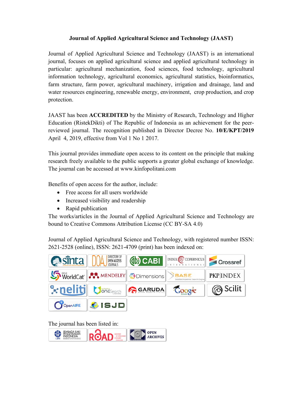# **Journal of Applied Agricultural Science and Technology (JAAST)**

Journal of Applied Agricultural Science and Technology (JAAST) is an international journal, focuses on applied agricultural science and applied agricultural technology in particular: agricultural mechanization, food sciences, food technology, agricultural information technology, agricultural economics, agricultural statistics, bioinformatics, farm structure, farm power, agricultural machinery, irrigation and drainage, land and water resources engineering, renewable energy, environment, crop production, and crop protection.

JAAST has been **ACCREDITED** by the Ministry of Research, Technology and Higher Education (RistekDikti) of The Republic of Indonesia as an achievement for the peerreviewed journal. The recognition published in Director Decree No. **10/E/KPT/2019** April 4, 2019, effective from Vol 1 No 1 2017.

This journal provides immediate open access to its content on the principle that making research freely available to the public supports a greater global exchange of knowledge. The journal can be accessed at www.kinfopolitani.com

Benefits of open access for the author, include:

- Free access for all users worldwide
- Increased visibility and readership
- Rapid publication

The works/articles in the Journal of Applied Agricultural Science and Technology are bound to Creative Commons Attribution License (CC BY-SA 4.0)

Journal of Applied Agricultural Science and Technology, with registered number ISSN: 2621-2528 (online), ISSN: 2621-4709 (print) has been indexed on:



The journal has been listed in:

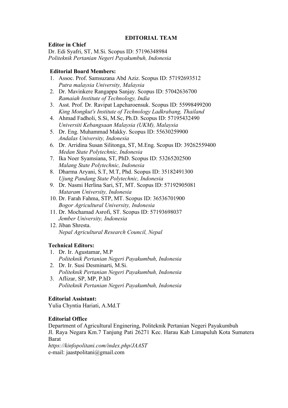### **EDITORIAL TEAM**

#### **Editor in Chief** Dr. Edi Syafri, ST, M.Si. Scopus ID: 57196348984 *Politeknik Pertanian Negeri Payakumbuh, Indonesia*

#### **Editorial Board Members:**

- 1. Assoc. Prof. Samsuzana Abd Aziz. Scopus ID: 57192693512 *Putra malaysia University, Malaysia*
- 2. Dr. Mavinkere Rangappa Sanjay. Scopus ID: 57042636700 *Ramaiah Institute of Technology, India*
- 3. Asst. Prof. Dr. Ravipat Lapcharoensuk. Scopus ID: 55998499200 *King Mongkut's Institute of Technology Ladkrabang, Thailand*
- 4. Ahmad Fadholi, S.Si, M.Sc, Ph.D. Scopus ID: 57195432490 *Universiti Kebangsaan Malaysia (UKM), Malaysia*
- 5. Dr. Eng. Muhammad Makky. Scopus ID: 55630259900 *Andalas University, Indonesia*
- 6. Dr. Arridina Susan Silitonga, ST, M.Eng. Scopus ID: 39262559400 *Medan State Polytechnic, Indonesia*
- 7. Ika Noer Syamsiana, ST, PhD. Scopus ID: 53265202500 *Malang State Polytechnic, Indonesia*
- 8. Dharma Aryani, S.T, M.T, Phd. Scopus ID: 35182491300 *Ujung Pandang State Polytechnic, Indonesia*
- 9. Dr. Nasmi Herlina Sari, ST, MT. Scopus ID: 57192905081 *Mataram University, Indonesia*
- 10. Dr. Farah Fahma, STP, MT. Scopus ID: 36536701900 *Bogor Agricultural University, Indonesia*
- 11. Dr. Mochamad Asrofi, ST. Scopus ID: 57193698037 *Jember University, Indonesia*
- 12. Jiban Shresta. *Nepal Agricultural Research Council, Nepal*

# **Technical Editors:**

- 1. Dr. Ir. Agustamar, M.P *Politeknik Pertanian Negeri Payakumbuh, Indonesia*
- 2. Dr. Ir. Susi Desminarti, M.Si. *Politeknik Pertanian Negeri Payakumbuh, Indonesia*
- 3. Aflizar, SP, MP, P.hD *Politeknik Pertanian Negeri Payakumbuh, Indonesia*

#### **Editorial Assistant:**

Yulia Chyntia Hariati, A.Md.T

# **Editorial Office**

Department of Agricultural Enginering, Politeknik Pertanian Negeri Payakumbuh Jl. Raya Negara Km.7 Tanjung Pati 26271 Kec. Harau Kab Limapuluh Kota Sumatera Barat

*https://kinfopolitani.com/index.php/JAAST* e-mail: jaastpolitani@gmail.com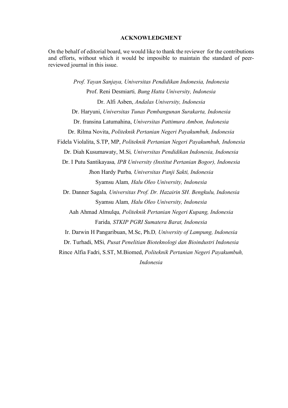#### **ACKNOWLEDGMENT**

On the behalf of editorial board, we would like to thank the reviewer for the contributions and efforts, without which it would be imposible to maintain the standard of peerreviewed journal in this issue.

*Prof. Yayan Sanjaya, Universitas Pendidikan Indonesia, Indonesia* Prof. Reni Desmiarti*, Bung Hatta University, Indonesia* Dr. Alfi Asben, *Andalas University, Indonesia* Dr. Haryuni, *Universitas Tunas Pembangunan Surakarta, Indonesia* Dr. fransina Latumahina, *Universitas Pattimura Ambon, Indonesia* Dr. Rilma Novita, *Politeknik Pertanian Negeri Payakumbuh, Indonesia* Fidela Violalita, S.TP, MP, *Politeknik Pertanian Negeri Payakumbuh, Indonesia* Dr. Diah Kusumawaty, M.Si*, Universitas Pendidikan Indonesia, Indonesia* Dr. I Putu Santikayasa*, IPB University (Institut Pertanian Bogor), Indonesia* Jhon Hardy Purba*, Universitas Panji Sakti, Indonesia* Syamsu Alam*, Halu Oleo University, Indonesia* Dr. Danner Sagala*, Universitas Prof. Dr. Hazairin SH. Bengkulu, Indonesia* Syamsu Alam*, Halu Oleo University, Indonesia* Aah Ahmad Almulqu*, Politeknik Pertanian Negeri Kupang, Indonesia* Farida*, STKIP PGRI Sumatera Barat, Indonesia* Ir. Darwin H Pangaribuan, M.Sc, Ph.D*, University of Lampung, Indonesia* Dr. Turhadi, MSi*, Pusat Penelitian Bioteknologi dan Bioindustri Indonesia* Rince Alfia Fadri, S.ST, M.Biomed, *Politeknik Pertanian Negeri Payakumbuh, Indonesia*